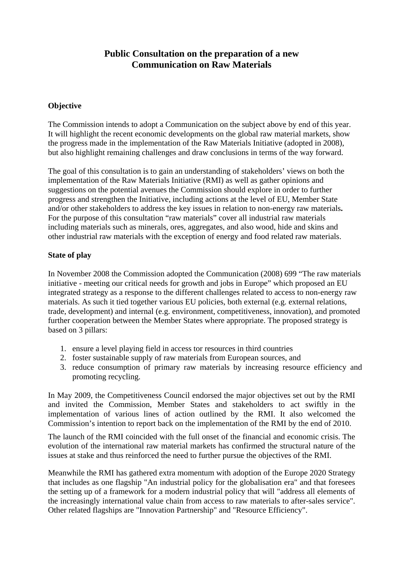#### **Public Consultation on the preparation of a new Communication on Raw Materials**

#### **Objective**

The Commission intends to adopt a Communication on the subject above by end of this year. It will highlight the recent economic developments on the global raw material markets, show the progress made in the implementation of the Raw Materials Initiative (adopted in 2008), but also highlight remaining challenges and draw conclusions in terms of the way forward.

The goal of this consultation is to gain an understanding of stakeholders' views on both the implementation of the Raw Materials Initiative (RMI) as well as gather opinions and suggestions on the potential avenues the Commission should explore in order to further progress and strengthen the Initiative, including actions at the level of EU, Member State and/or other stakeholders to address the key issues in relation to non-energy raw materials**.**  For the purpose of this consultation "raw materials" cover all industrial raw materials including materials such as minerals, ores, aggregates, and also wood, hide and skins and other industrial raw materials with the exception of energy and food related raw materials.

#### **State of play**

In November 2008 the Commission adopted the Communication (2008) 699 "The raw materials initiative - meeting our critical needs for growth and jobs in Europe" which proposed an EU integrated strategy as a response to the different challenges related to access to non-energy raw materials. As such it tied together various EU policies, both external (e.g. external relations, trade, development) and internal (e.g. environment, competitiveness, innovation), and promoted further cooperation between the Member States where appropriate. The proposed strategy is based on 3 pillars:

- 1. ensure a level playing field in access tor resources in third countries
- 2. foster sustainable supply of raw materials from European sources, and
- 3. reduce consumption of primary raw materials by increasing resource efficiency and promoting recycling.

In May 2009, the Competitiveness Council endorsed the major objectives set out by the RMI and invited the Commission, Member States and stakeholders to act swiftly in the implementation of various lines of action outlined by the RMI. It also welcomed the Commission's intention to report back on the implementation of the RMI by the end of 2010.

The launch of the RMI coincided with the full onset of the financial and economic crisis. The evolution of the international raw material markets has confirmed the structural nature of the issues at stake and thus reinforced the need to further pursue the objectives of the RMI.

Meanwhile the RMI has gathered extra momentum with adoption of the Europe 2020 Strategy that includes as one flagship "An industrial policy for the globalisation era" and that foresees the setting up of a framework for a modern industrial policy that will "address all elements of the increasingly international value chain from access to raw materials to after-sales service". Other related flagships are "Innovation Partnership" and "Resource Efficiency".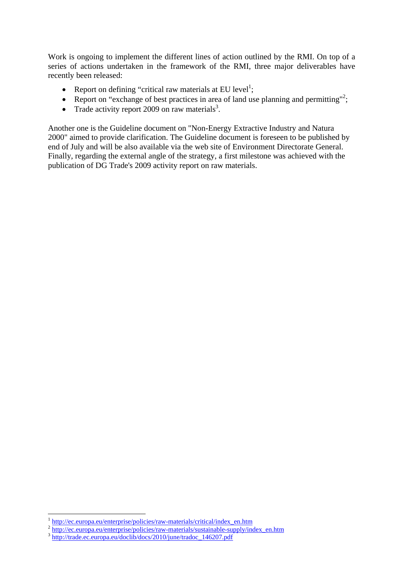Work is ongoing to implement the different lines of action outlined by the RMI. On top of a series of actions undertaken in the framework of the RMI, three major deliverables have recently been released:

- Report on defining "critical raw materials at EU level<sup>1</sup>;
- Report on "exchange of best practices in area of land use planning and permitting"<sup>2</sup>;
- Trade activity report 2009 on raw materials<sup>3</sup>.

Another one is the Guideline document on "Non-Energy Extractive Industry and Natura 2000" aimed to provide clarification. The Guideline document is foreseen to be published by end of July and will be also available via the web site of Environment Directorate General. Finally, regarding the external angle of the strategy, a first milestone was achieved with the publication of DG Trade's 2009 activity report on raw materials.

<sup>&</sup>lt;sup>1</sup> http://ec.europa.eu/enterprise/policies/raw-materials/critical/index en.htm

[http://ec.europa.eu/enterprise/policies/raw-materials/sustainable-supply/index\\_en.htm](http://ec.europa.eu/enterprise/policies/raw-materials/sustainable-supply/index_en.htm)<br>
<sup>3</sup>[http://trade.ec.europa.eu/doclib/docs/2010/june/tradoc\\_146207.pdf](http://trade.ec.europa.eu/doclib/docs/2010/june/tradoc_146207.pdf)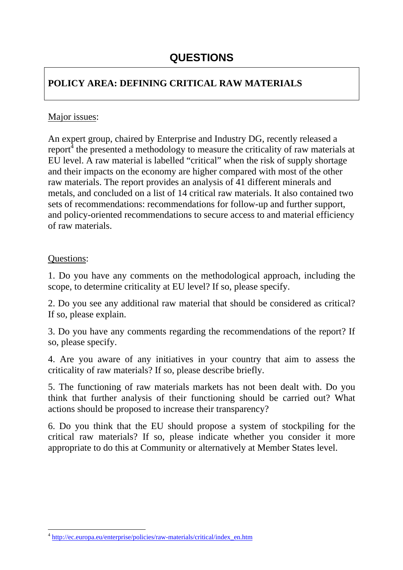# **QUESTIONS**

### **POLICY AREA: DEFINING CRITICAL RAW MATERIALS**

### Major issues:

An expert group, chaired by Enterprise and Industry DG, recently released a report $^4$  the presented a methodology to measure the criticality of raw materials at EU level. A raw material is labelled "critical" when the risk of supply shortage and their impacts on the economy are higher compared with most of the other raw materials. The report provides an analysis of 41 different minerals and metals, and concluded on a list of 14 critical raw materials. It also contained two sets of recommendations: recommendations for follow-up and further support, and policy-oriented recommendations to secure access to and material efficiency of raw materials.

#### Questions:

 $\overline{a}$ 

1. Do you have any comments on the methodological approach, including the scope, to determine criticality at EU level? If so, please specify.

2. Do you see any additional raw material that should be considered as critical? If so, please explain.

3. Do you have any comments regarding the recommendations of the report? If so, please specify.

4. Are you aware of any initiatives in your country that aim to assess the criticality of raw materials? If so, please describe briefly.

5. The functioning of raw materials markets has not been dealt with. Do you think that further analysis of their functioning should be carried out? What actions should be proposed to increase their transparency?

6. Do you think that the EU should propose a system of stockpiling for the critical raw materials? If so, please indicate whether you consider it more appropriate to do this at Community or alternatively at Member States level.

<sup>4</sup> [http://ec.europa.eu/enterprise/policies/raw-materials/critical/index\\_en.htm](http://ec.europa.eu/enterprise/policies/raw-materials/critical/index_en.htm)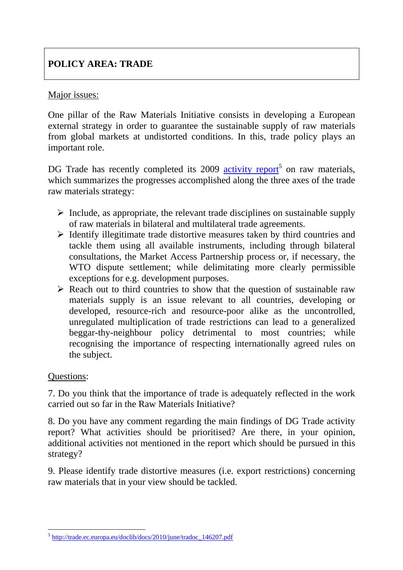## **POLICY AREA: TRADE**

### Major issues:

One pillar of the Raw Materials Initiative consists in developing a European external strategy in order to guarantee the sustainable supply of raw materials from global markets at undistorted conditions. In this, trade policy plays an important role.

DG Trade has recently completed its 2009 activity report<sup>5</sup> on raw materials, which summarizes the progresses accomplished along the three axes of the trade raw materials strategy:

- $\triangleright$  Include, as appropriate, the relevant trade disciplines on sustainable supply of raw materials in bilateral and multilateral trade agreements.
- $\triangleright$  Identify illegitimate trade distortive measures taken by third countries and tackle them using all available instruments, including through bilateral consultations, the Market Access Partnership process or, if necessary, the WTO dispute settlement; while delimitating more clearly permissible exceptions for e.g. development purposes.
- $\triangleright$  Reach out to third countries to show that the question of sustainable raw materials supply is an issue relevant to all countries, developing or developed, resource-rich and resource-poor alike as the uncontrolled, unregulated multiplication of trade restrictions can lead to a generalized beggar-thy-neighbour policy detrimental to most countries; while recognising the importance of respecting internationally agreed rules on the subject.

### Questions:

7. Do you think that the importance of trade is adequately reflected in the work carried out so far in the Raw Materials Initiative?

8. Do you have any comment regarding the main findings of DG Trade activity report? What activities should be prioritised? Are there, in your opinion, additional activities not mentioned in the report which should be pursued in this strategy?

9. Please identify trade distortive measures (i.e. export restrictions) concerning raw materials that in your view should be tackled.

 $\overline{a}$ <sup>5</sup> [http://trade.ec.europa.eu/doclib/docs/2010/june/tradoc\\_146207.pdf](http://trade.ec.europa.eu/doclib/docs/2010/june/tradoc_146207.pdf)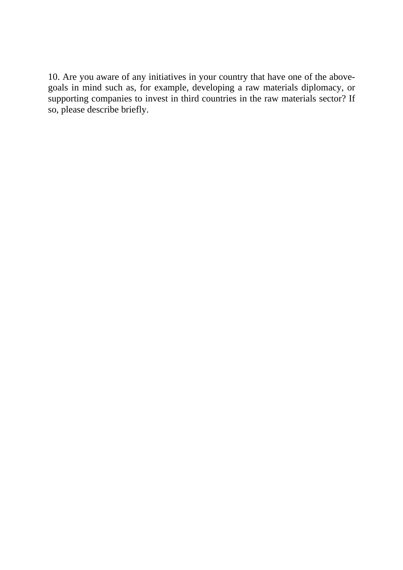10. Are you aware of any initiatives in your country that have one of the abovegoals in mind such as, for example, developing a raw materials diplomacy, or supporting companies to invest in third countries in the raw materials sector? If so, please describe briefly.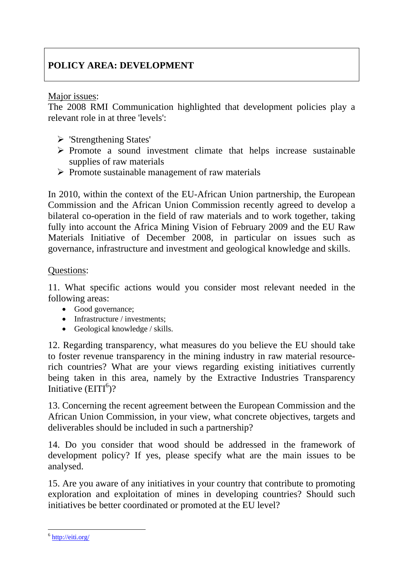## **POLICY AREA: DEVELOPMENT**

Major issues:

The 2008 RMI Communication highlighted that development policies play a relevant role in at three 'levels':

- $\triangleright$  'Strengthening States'
- $\triangleright$  Promote a sound investment climate that helps increase sustainable supplies of raw materials
- $\triangleright$  Promote sustainable management of raw materials

In 2010, within the context of the EU-African Union partnership, the European Commission and the African Union Commission recently agreed to develop a bilateral co-operation in the field of raw materials and to work together, taking fully into account the Africa Mining Vision of February 2009 and the EU Raw Materials Initiative of December 2008, in particular on issues such as governance, infrastructure and investment and geological knowledge and skills.

#### Questions:

11. What specific actions would you consider most relevant needed in the following areas:

- Good governance;
- Infrastructure / investments:
- Geological knowledge / skills.

12. Regarding transparency, what measures do you believe the EU should take to foster revenue transparency in the mining industry in raw material resourcerich countries? What are your views regarding existing initiatives currently being taken in this area, namely by the Extractive Industries Transparency Initiative  $(EITI<sup>6</sup>)$ ?

13. Concerning the recent agreement between the European Commission and the African Union Commission, in your view, what concrete objectives, targets and deliverables should be included in such a partnership?

14. Do you consider that wood should be addressed in the framework of development policy? If yes, please specify what are the main issues to be analysed.

15. Are you aware of any initiatives in your country that contribute to promoting exploration and exploitation of mines in developing countries? Should such initiatives be better coordinated or promoted at the EU level?

 $\overline{a}$ 

<sup>6</sup> <http://eiti.org/>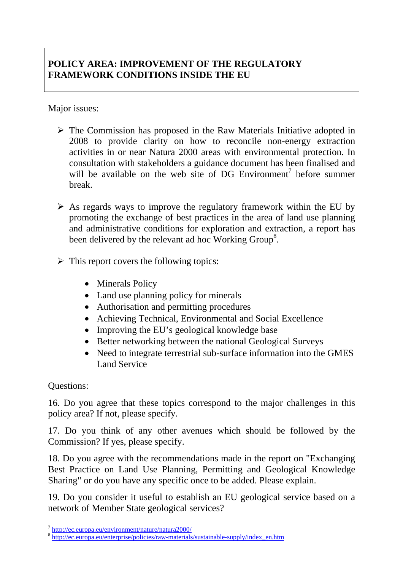### **POLICY AREA: IMPROVEMENT OF THE REGULATORY FRAMEWORK CONDITIONS INSIDE THE EU**

### Major issues:

- $\triangleright$  The Commission has proposed in the Raw Materials Initiative adopted in 2008 to provide clarity on how to reconcile non-energy extraction activities in or near Natura 2000 areas with environmental protection. In consultation with stakeholders a guidance document has been finalised and will be available on the web site of DG Environment<sup>7</sup> before summer break.
- $\triangleright$  As regards ways to improve the regulatory framework within the EU by promoting the exchange of best practices in the area of land use planning and administrative conditions for exploration and extraction, a report has been delivered by the relevant ad hoc Working Group<sup>8</sup>.
- $\triangleright$  This report covers the following topics:
	- Minerals Policy
	- Land use planning policy for minerals
	- Authorisation and permitting procedures
	- Achieving Technical, Environmental and Social Excellence
	- Improving the EU's geological knowledge base
	- Better networking between the national Geological Surveys
	- Need to integrate terrestrial sub-surface information into the GMES Land Service

#### Questions:

 $\overline{a}$ 

16. Do you agree that these topics correspond to the major challenges in this policy area? If not, please specify.

17. Do you think of any other avenues which should be followed by the Commission? If yes, please specify.

18. Do you agree with the recommendations made in the report on "Exchanging Best Practice on Land Use Planning, Permitting and Geological Knowledge Sharing" or do you have any specific once to be added. Please explain.

19. Do you consider it useful to establish an EU geological service based on a network of Member State geological services?

<sup>7</sup> [http://ec.europa.eu/environment/nature/natura2000/ 8](http://ec.europa.eu/environment/nature/natura2000/) [http://ec.europa.eu/enterprise/policies/raw-materials/sustainable-supply/index\\_en.htm](http://ec.europa.eu/enterprise/policies/raw-materials/sustainable-supply/index_en.htm)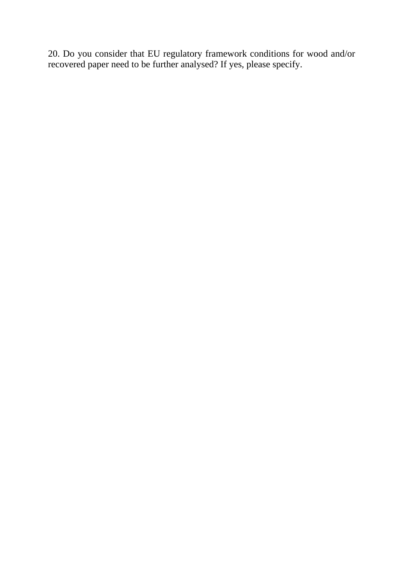20. Do you consider that EU regulatory framework conditions for wood and/or recovered paper need to be further analysed? If yes, please specify.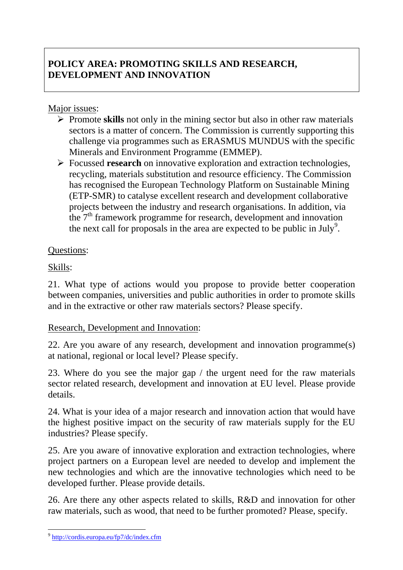## **POLICY AREA: PROMOTING SKILLS AND RESEARCH, DEVELOPMENT AND INNOVATION**

### Major issues:

- ¾ Promote **skills** not only in the mining sector but also in other raw materials sectors is a matter of concern. The Commission is currently supporting this challenge via programmes such as ERASMUS MUNDUS with the specific Minerals and Environment Programme (EMMEP).
- ¾ Focussed **research** on innovative exploration and extraction technologies, recycling, materials substitution and resource efficiency. The Commission has recognised the European Technology Platform on Sustainable Mining (ETP-SMR) to catalyse excellent research and development collaborative projects between the industry and research organisations. In addition, via the  $7<sup>th</sup>$  framework programme for research, development and innovation the next call for proposals in the area are expected to be public in July<sup>9</sup>.

### Questions:

### Skills:

21. What type of actions would you propose to provide better cooperation between companies, universities and public authorities in order to promote skills and in the extractive or other raw materials sectors? Please specify.

### Research, Development and Innovation:

22. Are you aware of any research, development and innovation programme(s) at national, regional or local level? Please specify.

23. Where do you see the major gap / the urgent need for the raw materials sector related research, development and innovation at EU level. Please provide details.

24. What is your idea of a major research and innovation action that would have the highest positive impact on the security of raw materials supply for the EU industries? Please specify.

25. Are you aware of innovative exploration and extraction technologies, where project partners on a European level are needed to develop and implement the new technologies and which are the innovative technologies which need to be developed further. Please provide details.

26. Are there any other aspects related to skills, R&D and innovation for other raw materials, such as wood, that need to be further promoted? Please, specify.

 $\overline{a}$ 

<sup>9</sup> <http://cordis.europa.eu/fp7/dc/index.cfm>